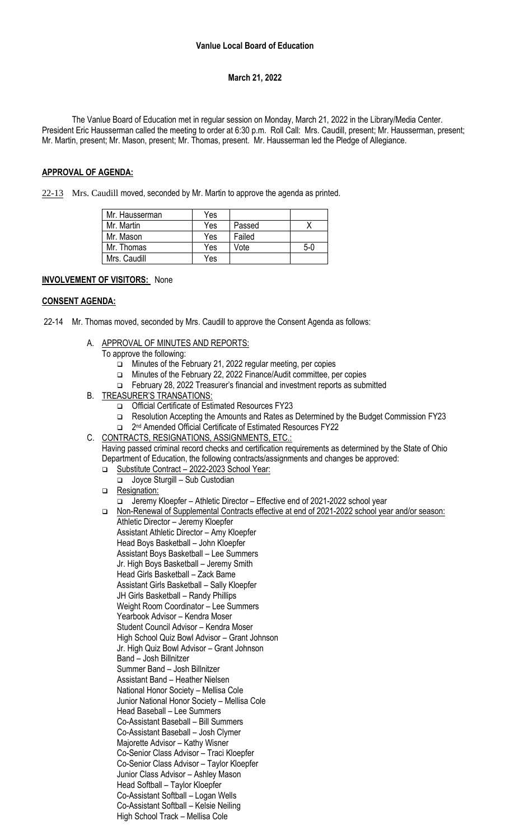## **March 21, 2022**

The Vanlue Board of Education met in regular session on Monday, March 21, 2022 in the Library/Media Center. President Eric Hausserman called the meeting to order at 6:30 p.m. Roll Call: Mrs. Caudill, present; Mr. Hausserman, present; Mr. Martin, present; Mr. Mason, present; Mr. Thomas, present. Mr. Hausserman led the Pledge of Allegiance.

### **APPROVAL OF AGENDA:**

22-13 Mrs. Caudill moved, seconded by Mr. Martin to approve the agenda as printed.

| Mr. Hausserman | Yes |        |       |
|----------------|-----|--------|-------|
| Mr. Martin     | Yes | Passed |       |
| Mr. Mason      | Yes | Failed |       |
| Mr. Thomas     | Yes | Vote   | $5-0$ |
| Mrs. Caudill   | Yes |        |       |

### **INVOLVEMENT OF VISITORS:** None

### **CONSENT AGENDA:**

- 22-14 Mr. Thomas moved, seconded by Mrs. Caudill to approve the Consent Agenda as follows:
	- A. APPROVAL OF MINUTES AND REPORTS:
		- To approve the following:
			- ❑ Minutes of the February 21, 2022 regular meeting, per copies
			- ❑ Minutes of the February 22, 2022 Finance/Audit committee, per copies
			- ❑ February 28, 2022 Treasurer's financial and investment reports as submitted
	- B. TREASURER'S TRANSATIONS:
		- ❑ Official Certificate of Estimated Resources FY23
		- ❑ Resolution Accepting the Amounts and Rates as Determined by the Budget Commission FY23
		- ❑ 2 nd Amended Official Certificate of Estimated Resources FY22
	- C. CONTRACTS, RESIGNATIONS, ASSIGNMENTS, ETC.: Having passed criminal record checks and certification requirements as determined by the State of Ohio
		- Department of Education, the following contracts/assignments and changes be approved:
		- ❑ Substitute Contract 2022-2023 School Year:
			- ❑ Joyce Sturgill Sub Custodian
		- ❑ Resignation:
			- ❑ Jeremy Kloepfer Athletic Director Effective end of 2021-2022 school year

❑ Non-Renewal of Supplemental Contracts effective at end of 2021-2022 school year and/or season: Athletic Director – Jeremy Kloepfer Assistant Athletic Director – Amy Kloepfer Head Boys Basketball – John Kloepfer Assistant Boys Basketball – Lee Summers Jr. High Boys Basketball – Jeremy Smith Head Girls Basketball – Zack Bame Assistant Girls Basketball – Sally Kloepfer JH Girls Basketball – Randy Phillips Weight Room Coordinator – Lee Summers Yearbook Advisor – Kendra Moser Student Council Advisor – Kendra Moser High School Quiz Bowl Advisor – Grant Johnson Jr. High Quiz Bowl Advisor – Grant Johnson Band – Josh Billnitzer Summer Band – Josh Billnitzer Assistant Band – Heather Nielsen National Honor Society – Mellisa Cole Junior National Honor Society – Mellisa Cole Head Baseball – Lee Summers Co-Assistant Baseball – Bill Summers Co-Assistant Baseball – Josh Clymer Majorette Advisor – Kathy Wisner Co-Senior Class Advisor – Traci Kloepfer Co-Senior Class Advisor – Taylor Kloepfer Junior Class Advisor – Ashley Mason Head Softball – Taylor Kloepfer Co-Assistant Softball – Logan Wells

Co-Assistant Softball – Kelsie Neiling High School Track – Mellisa Cole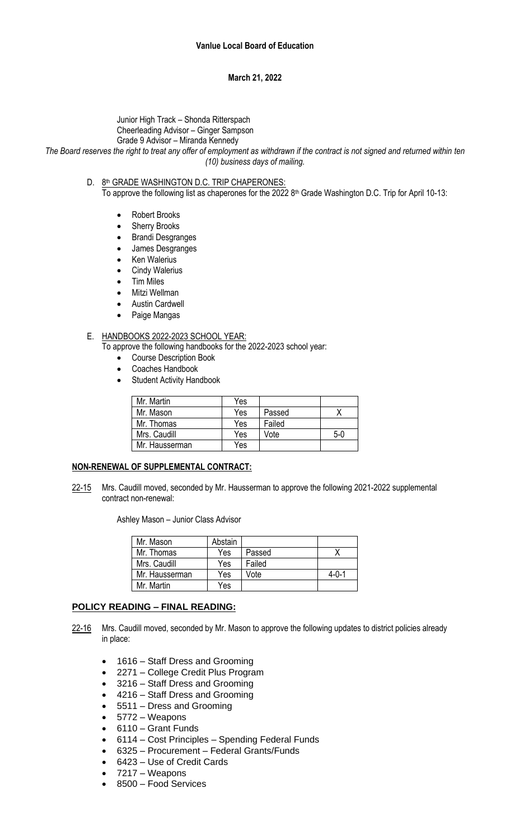## **March 21, 2022**

# Junior High Track – Shonda Ritterspach Cheerleading Advisor – Ginger Sampson

### Grade 9 Advisor – Miranda Kennedy

*The Board reserves the right to treat any offer of employment as withdrawn if the contract is not signed and returned within ten (10) business days of mailing.*

D. 8th GRADE WASHINGTON D.C. TRIP CHAPERONES:

To approve the following list as chaperones for the 2022  $8<sup>th</sup>$  Grade Washington D.C. Trip for April 10-13:

- Robert Brooks
- Sherry Brooks
- Brandi Desgranges
- James Desgranges
- Ken Walerius
- Cindy Walerius
- Tim Miles
- Mitzi Wellman
- **Austin Cardwell**
- Paige Mangas

### E. HANDBOOKS 2022-2023 SCHOOL YEAR:

- To approve the following handbooks for the 2022-2023 school year:
	- Course Description Book
	- Coaches Handbook
	- Student Activity Handbook

| Mr. Martin     | Yes |        |     |
|----------------|-----|--------|-----|
| Mr. Mason      | Yes | Passed |     |
| Mr. Thomas     | Yes | Failed |     |
| Mrs. Caudill   | Yes | Vote   | 5-0 |
| Mr. Hausserman | Yes |        |     |

## **NON-RENEWAL OF SUPPLEMENTAL CONTRACT:**

22-15 Mrs. Caudill moved, seconded by Mr. Hausserman to approve the following 2021-2022 supplemental contract non-renewal:

Ashley Mason – Junior Class Advisor

| Mr. Mason      | Abstain |        |             |
|----------------|---------|--------|-------------|
| Mr. Thomas     | Yes     | Passed |             |
| Mrs. Caudill   | Yes     | Failed |             |
| Mr. Hausserman | Yes     | Vote   | $4 - 0 - 1$ |
| Mr. Martin     | Yes     |        |             |

## **POLICY READING – FINAL READING:**

- 22-16 Mrs. Caudill moved, seconded by Mr. Mason to approve the following updates to district policies already in place:
	- 1616 Staff Dress and Grooming
	- 2271 College Credit Plus Program
	- 3216 Staff Dress and Grooming
	- 4216 Staff Dress and Grooming
	- 5511 Dress and Grooming
	- 5772 Weapons
	- 6110 Grant Funds
	- 6114 Cost Principles Spending Federal Funds
	- 6325 Procurement Federal Grants/Funds
	- 6423 Use of Credit Cards
	- 7217 Weapons
	- 8500 Food Services